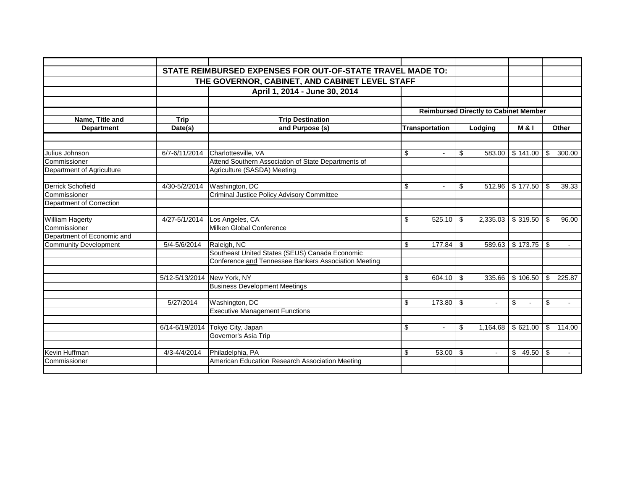|                              |                                                | STATE REIMBURSED EXPENSES FOR OUT-OF-STATE TRAVEL MADE TO: |    |                       |      |                                              |                        |       |                          |
|------------------------------|------------------------------------------------|------------------------------------------------------------|----|-----------------------|------|----------------------------------------------|------------------------|-------|--------------------------|
|                              | THE GOVERNOR, CABINET, AND CABINET LEVEL STAFF |                                                            |    |                       |      |                                              |                        |       |                          |
|                              |                                                | April 1, 2014 - June 30, 2014                              |    |                       |      |                                              |                        |       |                          |
|                              |                                                |                                                            |    |                       |      |                                              |                        |       |                          |
|                              |                                                |                                                            |    |                       |      | <b>Reimbursed Directly to Cabinet Member</b> |                        |       |                          |
| Name, Title and              | <b>Trip</b>                                    | <b>Trip Destination</b>                                    |    |                       |      |                                              |                        |       |                          |
| <b>Department</b>            | Date(s)                                        | and Purpose (s)                                            |    | <b>Transportation</b> |      | Lodging                                      | <b>M&amp;I</b>         | Other |                          |
|                              |                                                |                                                            |    |                       |      |                                              |                        |       |                          |
| Julius Johnson               | 6/7-6/11/2014                                  | Charlottesville, VA                                        | \$ |                       | \$   | 583.00                                       | \$141.00               | \$    | 300.00                   |
| Commissioner                 |                                                | Attend Southern Association of State Departments of        |    |                       |      |                                              |                        |       |                          |
| Department of Agriculture    |                                                | Agriculture (SASDA) Meeting                                |    |                       |      |                                              |                        |       |                          |
|                              |                                                |                                                            |    |                       |      |                                              |                        |       |                          |
| <b>Derrick Schofield</b>     | 4/30-5/2/2014                                  | Washington, DC                                             | \$ |                       | \$   | 512.96                                       | \$177.50               | \$    | 39.33                    |
| Commissioner                 |                                                | <b>Criminal Justice Policy Advisory Committee</b>          |    |                       |      |                                              |                        |       |                          |
| Department of Correction     |                                                |                                                            |    |                       |      |                                              |                        |       |                          |
| William Hagerty              | 4/27-5/1/2014                                  | Los Angeles, CA                                            | \$ | 525.10                | - \$ | 2,335.03                                     | \$319.50               | \$    | 96.00                    |
| Commissioner                 |                                                | Milken Global Conference                                   |    |                       |      |                                              |                        |       |                          |
| Department of Economic and   |                                                |                                                            |    |                       |      |                                              |                        |       |                          |
| <b>Community Development</b> | 5/4-5/6/2014                                   | Raleigh, NC                                                | \$ | $177.84$ \\$          |      |                                              | 589.63   \$173.75   \$ |       | $\overline{\phantom{a}}$ |
|                              |                                                | Southeast United States (SEUS) Canada Economic             |    |                       |      |                                              |                        |       |                          |
|                              |                                                | Conference and Tennessee Bankers Association Meeting       |    |                       |      |                                              |                        |       |                          |
|                              | 5/12-5/13/2014 New York, NY                    |                                                            | \$ | $604.10$ \ \$         |      | 335.66                                       | \$106.50               | \$    | 225.87                   |
|                              |                                                | <b>Business Development Meetings</b>                       |    |                       |      |                                              |                        |       |                          |
|                              |                                                |                                                            |    |                       |      |                                              |                        |       |                          |
|                              | 5/27/2014                                      | Washington, DC                                             | \$ | $173.80$ \$           |      | $\blacksquare$                               | \$<br>$\blacksquare$   | \$    | $\sim$                   |
|                              |                                                | <b>Executive Management Functions</b>                      |    |                       |      |                                              |                        |       |                          |
|                              |                                                |                                                            |    |                       |      |                                              |                        |       |                          |
|                              | 6/14-6/19/2014                                 | Tokyo City, Japan                                          | \$ | $\overline{a}$        | \$   | 1,164.68                                     | \$621.00               | \$    | 114.00                   |
|                              |                                                | Governor's Asia Trip                                       |    |                       |      |                                              |                        |       |                          |
| Kevin Huffman                | $4/3 - 4/4/2014$                               | Philadelphia, PA                                           | \$ | 53.00                 | \$   |                                              | 49.50<br>\$            | \$    |                          |
|                              |                                                | American Education Research Association Meeting            |    |                       |      |                                              |                        |       |                          |
| Commissioner                 |                                                |                                                            |    |                       |      |                                              |                        |       |                          |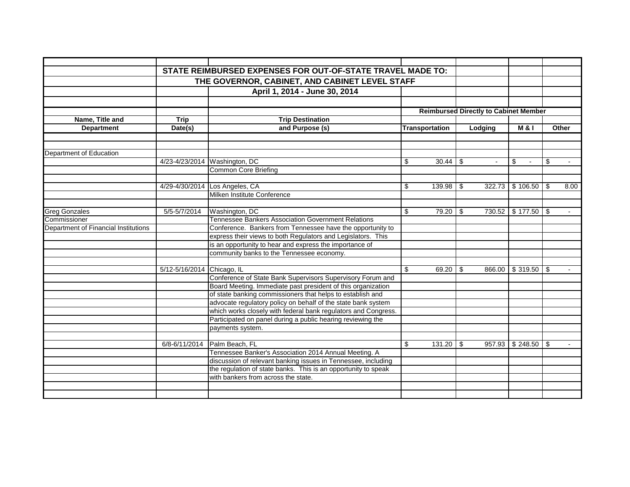|                                      |                                                | STATE REIMBURSED EXPENSES FOR OUT-OF-STATE TRAVEL MADE TO:                                                                  |    |                                              |  |                |                       |              |        |
|--------------------------------------|------------------------------------------------|-----------------------------------------------------------------------------------------------------------------------------|----|----------------------------------------------|--|----------------|-----------------------|--------------|--------|
|                                      | THE GOVERNOR, CABINET, AND CABINET LEVEL STAFF |                                                                                                                             |    |                                              |  |                |                       |              |        |
|                                      |                                                | April 1, 2014 - June 30, 2014                                                                                               |    |                                              |  |                |                       |              |        |
|                                      |                                                |                                                                                                                             |    |                                              |  |                |                       |              |        |
|                                      |                                                |                                                                                                                             |    | <b>Reimbursed Directly to Cabinet Member</b> |  |                |                       |              |        |
| Name, Title and                      | <b>Trip</b>                                    | <b>Trip Destination</b>                                                                                                     |    |                                              |  |                |                       |              |        |
| <b>Department</b>                    | Date(s)                                        | and Purpose (s)                                                                                                             |    | <b>Transportation</b>                        |  | Lodging        | <b>M &amp; I</b>      | <b>Other</b> |        |
|                                      |                                                |                                                                                                                             |    |                                              |  |                |                       |              |        |
| Department of Education              |                                                |                                                                                                                             |    |                                              |  |                |                       |              |        |
|                                      |                                                | 4/23-4/23/2014 Washington, DC                                                                                               | \$ | $30.44$ \\$                                  |  | $\overline{a}$ | \$                    | \$           | $\sim$ |
|                                      |                                                | <b>Common Core Briefing</b>                                                                                                 |    |                                              |  |                |                       |              |        |
|                                      |                                                |                                                                                                                             |    |                                              |  |                |                       |              |        |
|                                      |                                                | 4/29-4/30/2014 Los Angeles, CA                                                                                              | \$ | $139.98$ \$                                  |  |                | $322.73$ \$ 106.50 \$ |              | 8.00   |
|                                      |                                                | Milken Institute Conference                                                                                                 |    |                                              |  |                |                       |              |        |
| Greg Gonzales                        | 5/5-5/7/2014                                   | Washington, DC                                                                                                              | \$ |                                              |  | 730.52         | $$177.50$ \ \$        |              |        |
| Commissioner                         |                                                | <b>Tennessee Bankers Association Government Relations</b>                                                                   |    |                                              |  |                |                       |              |        |
| Department of Financial Institutions |                                                | Conference. Bankers from Tennessee have the opportunity to                                                                  |    |                                              |  |                |                       |              |        |
|                                      |                                                | express their views to both Regulators and Legislators. This                                                                |    |                                              |  |                |                       |              |        |
|                                      |                                                | is an opportunity to hear and express the importance of                                                                     |    |                                              |  |                |                       |              |        |
|                                      |                                                | community banks to the Tennessee economy.                                                                                   |    |                                              |  |                |                       |              |        |
|                                      |                                                |                                                                                                                             |    |                                              |  |                |                       |              |        |
|                                      | 5/12-5/16/2014 Chicago, IL                     |                                                                                                                             | \$ | $69.20$ \ \$                                 |  | 866.00         | $$319.50$ \\$         |              |        |
|                                      |                                                | Conference of State Bank Supervisors Supervisory Forum and<br>Board Meeting. Immediate past president of this organization  |    |                                              |  |                |                       |              |        |
|                                      |                                                |                                                                                                                             |    |                                              |  |                |                       |              |        |
|                                      |                                                | of state banking commissioners that helps to establish and<br>advocate regulatory policy on behalf of the state bank system |    |                                              |  |                |                       |              |        |
|                                      |                                                | which works closely with federal bank regulators and Congress.                                                              |    |                                              |  |                |                       |              |        |
|                                      |                                                | Participated on panel during a public hearing reviewing the                                                                 |    |                                              |  |                |                       |              |        |
|                                      |                                                | payments system.                                                                                                            |    |                                              |  |                |                       |              |        |
|                                      |                                                |                                                                                                                             |    |                                              |  |                |                       |              |        |
|                                      | 6/8-6/11/2014                                  | Palm Beach, FL                                                                                                              | \$ | $131.20$ \$                                  |  | 957.93         | $$248.50$ \\$         |              |        |
|                                      |                                                | Tennessee Banker's Association 2014 Annual Meeting. A                                                                       |    |                                              |  |                |                       |              |        |
|                                      |                                                | discussion of relevant banking issues in Tennessee, including                                                               |    |                                              |  |                |                       |              |        |
|                                      |                                                | the regulation of state banks. This is an opportunity to speak                                                              |    |                                              |  |                |                       |              |        |
|                                      |                                                | with bankers from across the state.                                                                                         |    |                                              |  |                |                       |              |        |
|                                      |                                                |                                                                                                                             |    |                                              |  |                |                       |              |        |
|                                      |                                                |                                                                                                                             |    |                                              |  |                |                       |              |        |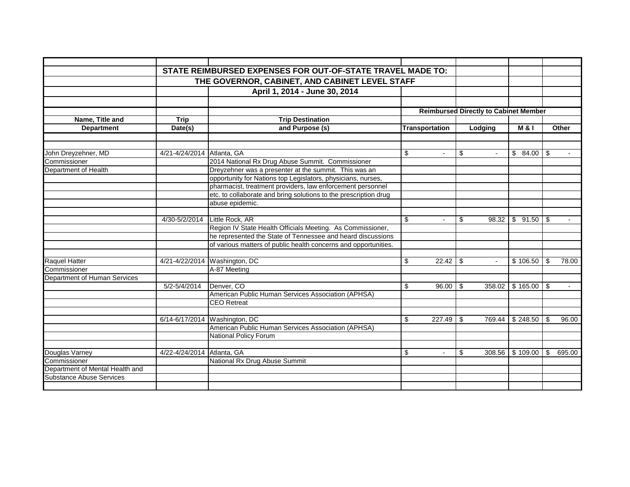|                                 |                                                | STATE REIMBURSED EXPENSES FOR OUT-OF-STATE TRAVEL MADE TO:       |                      |                                              |                         |             |
|---------------------------------|------------------------------------------------|------------------------------------------------------------------|----------------------|----------------------------------------------|-------------------------|-------------|
|                                 | THE GOVERNOR, CABINET, AND CABINET LEVEL STAFF |                                                                  |                      |                                              |                         |             |
|                                 |                                                | April 1, 2014 - June 30, 2014                                    |                      |                                              |                         |             |
|                                 |                                                |                                                                  |                      |                                              |                         |             |
|                                 |                                                |                                                                  |                      | <b>Reimbursed Directly to Cabinet Member</b> |                         |             |
| Name, Title and                 | <b>Trip</b>                                    | <b>Trip Destination</b>                                          |                      |                                              |                         |             |
| Department                      | Date(s)                                        | and Purpose (s)                                                  | Transportation       | Lodging                                      | <b>M&amp;I</b>          | Other       |
|                                 |                                                |                                                                  |                      |                                              |                         |             |
|                                 |                                                |                                                                  |                      |                                              |                         |             |
| John Dreyzehner, MD             | 4/21-4/24/2014 Atlanta, GA                     |                                                                  | \$                   | \$                                           | $$84.00$ \ \$           |             |
| Commissioner                    |                                                | 2014 National Rx Drug Abuse Summit. Commissioner                 |                      |                                              |                         |             |
| Department of Health            |                                                | Dreyzehner was a presenter at the summit. This was an            |                      |                                              |                         |             |
|                                 |                                                | opportunity for Nations top Legislators, physicians, nurses,     |                      |                                              |                         |             |
|                                 |                                                | pharmacist, treatment providers, law enforcement personnel       |                      |                                              |                         |             |
|                                 |                                                | etc. to collaborate and bring solutions to the prescription drug |                      |                                              |                         |             |
|                                 |                                                | abuse epidemic.                                                  |                      |                                              |                         |             |
|                                 |                                                |                                                                  |                      |                                              |                         |             |
|                                 | 4/30-5/2/2014                                  | Little Rock, AR                                                  | \$<br>$\blacksquare$ | \$                                           | $98.32$   \$ 91.50   \$ | $\sim$      |
|                                 |                                                | Region IV State Health Officials Meeting. As Commissioner,       |                      |                                              |                         |             |
|                                 |                                                | he represented the State of Tennessee and heard discussions      |                      |                                              |                         |             |
|                                 |                                                | of various matters of public health concerns and opportunities.  |                      |                                              |                         |             |
|                                 |                                                |                                                                  |                      |                                              |                         |             |
| Raquel Hatter                   |                                                | 4/21-4/22/2014 Washington, DC                                    | \$                   |                                              | \$106.50                | 78.00<br>\$ |
| Commissioner                    |                                                | A-87 Meeting                                                     |                      |                                              |                         |             |
| Department of Human Services    |                                                |                                                                  |                      |                                              |                         |             |
|                                 | 5/2-5/4/2014                                   | Denver, CO                                                       | \$<br>$96.00$ \ \$   |                                              | 358.02 \$165.00 \$      | $\sim$      |
|                                 |                                                | American Public Human Services Association (APHSA)               |                      |                                              |                         |             |
|                                 |                                                | <b>CEO</b> Retreat                                               |                      |                                              |                         |             |
|                                 |                                                |                                                                  |                      |                                              |                         |             |
|                                 |                                                | 6/14-6/17/2014 Washington, DC                                    | \$<br>$227.49$ \\$   | 769.44                                       | \$248.50                | \$<br>96.00 |
|                                 |                                                | American Public Human Services Association (APHSA)               |                      |                                              |                         |             |
|                                 |                                                | <b>National Policy Forum</b>                                     |                      |                                              |                         |             |
|                                 |                                                |                                                                  |                      |                                              |                         |             |
| Douglas Varney                  | 4/22-4/24/2014 Atlanta, GA                     |                                                                  | \$                   | \$<br>308.56                                 | \$109.00                | 695.00<br>S |
| Commissioner                    |                                                | National Rx Drug Abuse Summit                                    |                      |                                              |                         |             |
| Department of Mental Health and |                                                |                                                                  |                      |                                              |                         |             |
| <b>Substance Abuse Services</b> |                                                |                                                                  |                      |                                              |                         |             |
|                                 |                                                |                                                                  |                      |                                              |                         |             |
|                                 |                                                |                                                                  |                      |                                              |                         |             |